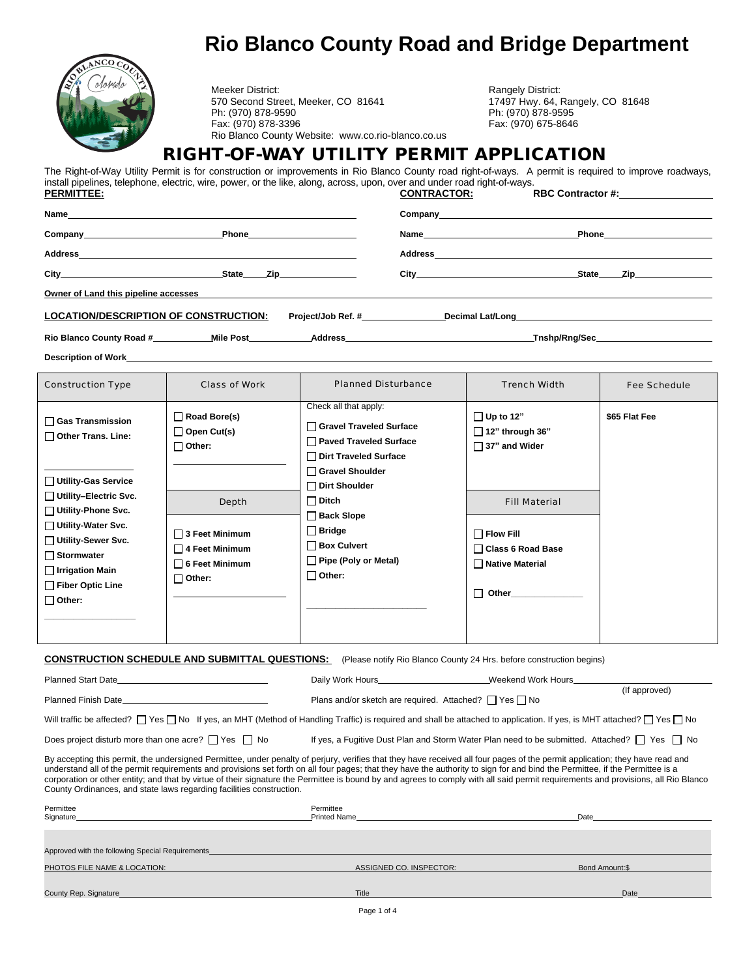

Meeker District:<br>17497 Hwy. 64, Rangely, CO 81648 (570 Second Street, Meeker, CO 81648 570 Second Street, Meeker, CO 81641 Ph: (970) 878-9590 Ph: (970) 878-9595 Rio Blanco County Website: www.co.rio-blanco.co.us

Fax: (970) 878-3396 Fax: (970) 675-8646

## **RIGHT-OF-WAY UTILITY PERMIT APPLICATION**

The Right-of-Way Utility Permit is for construction or improvements in Rio Blanco County road right-of-ways. A permit is required to improve roadways, install pipelines, telephone, electric, wire, power, or the like, along, across, upon, over and under road right-of-ways.<br> **PERMITTEE:**<br> **CONTRACTOR: RBC Contractor #:** 

|                                                                                                                                                                                                                                      |                                                                                                                                                                                                                                    |                                     | <b>Company</b> company and the company of the company of the company of the company of the company of the company of the company of the company of the company of the company of the company of the company of the company of the c |                                                                                                                                                                                                                                    |  |
|--------------------------------------------------------------------------------------------------------------------------------------------------------------------------------------------------------------------------------------|------------------------------------------------------------------------------------------------------------------------------------------------------------------------------------------------------------------------------------|-------------------------------------|-------------------------------------------------------------------------------------------------------------------------------------------------------------------------------------------------------------------------------------|------------------------------------------------------------------------------------------------------------------------------------------------------------------------------------------------------------------------------------|--|
| Company_______________________                                                                                                                                                                                                       | <b>Phone Contract Contract Contract Contract Contract Contract Contract Contract Contract Contract Contract Contract Contract Contract Contract Contract Contract Contract Contract Contract Contract Contract Contract Contra</b> |                                     | Name and the contract of the contract of the contract of the contract of the contract of the contract of the contract of the contract of the contract of the contract of the contract of the contract of the contract of the c      | <b>Phone Contract Contract Contract Contract Contract Contract Contract Contract Contract Contract Contract Contract Contract Contract Contract Contract Contract Contract Contract Contract Contract Contract Contract Contra</b> |  |
|                                                                                                                                                                                                                                      |                                                                                                                                                                                                                                    |                                     |                                                                                                                                                                                                                                     |                                                                                                                                                                                                                                    |  |
|                                                                                                                                                                                                                                      | State Zip                                                                                                                                                                                                                          |                                     | City <b>Called the Community City</b>                                                                                                                                                                                               | State Zip                                                                                                                                                                                                                          |  |
| <u>Owner of Land this pipeline accesses and the set of the set of the set of the set of the set of the set of the set of the set of the set of the set of the set of the set of the set of the set of the set of the set of the </u> |                                                                                                                                                                                                                                    |                                     |                                                                                                                                                                                                                                     |                                                                                                                                                                                                                                    |  |
| <b>LOCATION/DESCRIPTION OF CONSTRUCTION:</b>                                                                                                                                                                                         |                                                                                                                                                                                                                                    | Project/Job Ref. #_________________ | Decimal Lat/Long and the control of the control of the control of the control of the control of the control of the control of the control of the control of the control of the control of the control of the control of the co      |                                                                                                                                                                                                                                    |  |
| Rio Blanco County Road #____________Mile Post___________________________________                                                                                                                                                     |                                                                                                                                                                                                                                    |                                     |                                                                                                                                                                                                                                     | _Tnshp/Rng/Sec______________________                                                                                                                                                                                               |  |
|                                                                                                                                                                                                                                      |                                                                                                                                                                                                                                    |                                     |                                                                                                                                                                                                                                     |                                                                                                                                                                                                                                    |  |

| <b>Construction Type</b>                                                                                                                                                                                                                                         | Class of Work                                                                                                                                       | Planned Disturbance                                                                                                                                                                                                                                  | <b>Trench Width</b>                                                                                                                                                      | Fee Schedule  |
|------------------------------------------------------------------------------------------------------------------------------------------------------------------------------------------------------------------------------------------------------------------|-----------------------------------------------------------------------------------------------------------------------------------------------------|------------------------------------------------------------------------------------------------------------------------------------------------------------------------------------------------------------------------------------------------------|--------------------------------------------------------------------------------------------------------------------------------------------------------------------------|---------------|
| $\Box$ Gas Transmission<br>$\Box$ Other Trans. Line:<br>Utility-Gas Service<br>□ Utility-Electric Svc.<br>□ Utility-Phone Svc.<br>Utility-Water Svc.<br>□ Utility-Sewer Svc.<br>$\Box$ Stormwater<br>$\Box$ Irrigation Main<br>Fiber Optic Line<br>$\Box$ Other: | $\Box$ Road Bore(s)<br>◯ Open Cut(s)<br>$\Box$ Other:<br>Depth<br>$\Box$ 3 Feet Minimum<br>$\Box$ 4 Feet Minimum<br>6 Feet Minimum<br>$\Box$ Other: | Check all that apply:<br>□ Gravel Traveled Surface<br>□ Paved Traveled Surface<br>Dirt Traveled Surface<br>Gravel Shoulder<br>□ Dirt Shoulder<br>$\Box$ Ditch<br>Back Slope<br>$\Box$ Bridge<br>Box Culvert<br>Pipe (Poly or Metal)<br>$\Box$ Other: | $\Box$ Up to 12"<br>$\Box$ 12" through 36"<br>$\Box$ 37" and Wider<br><b>Fill Material</b><br>$\Box$ Flow Fill<br>□ Class 6 Road Base<br>□ Native Material<br>Other<br>П | \$65 Flat Fee |

**CONSTRUCTION SCHEDULE AND SUBMITTAL QUESTIONS:** (Please notify Rio Blanco County 24 Hrs. before construction begins)

Planned Start Date Content Content Content Content Content Date Daily Work Hours Montent Date Date Date Of Daily Work Hours Music Content Of Daily Work Hours Music Content Of Daily Work Hours Music Content Of Date Date Of (If approved) Planned Finish Date **Plans and/or sketch are required.** Attached? No Plans and/or sketch are required. Attached? No Will traffic be affected?  $\Box$  Yes  $\Box$  No If yes, an MHT (Method of Handling Traffic) is required and shall be attached to application. If yes, is MHT attached?  $\Box$  Yes  $\Box$  No Does project disturb more than one acre?  $\Box$  Yes  $\Box$  No If yes, a Fugitive Dust Plan and Storm Water Plan need to be submitted. Attached?  $\Box$  Yes  $\Box$  No By accepting this permit, the undersigned Permittee, under penalty of perjury, verifies that they have received all four pages of the permit application; they have read and understand all of the permit requirements and provisions set forth on all four pages; that they have the authority to sign for and bind the Permittee, if the Permittee is a corporation or other entity; and that by virtue of their signature the Permittee is bound by and agrees to comply with all said permit requirements and provisions, all Rio Blanco County Ordinances, and state laws regarding facilities construction. Permittee Permittee Signature Printed Name Date Printed Name Printed Name Printed Name Printed Name Printed Name Date Printed Name Date Date Printed Name Printed Name Printed Name Printed Name Printed Name Printed Name Printed Name Printed Na Approved with the following Special Requirements PHOTOS FILE NAME & LOCATION: **ASSIGNED CO. INSPECTOR:** Bond Amount:\$

| County Rep<br>Signature | Title | Date |
|-------------------------|-------|------|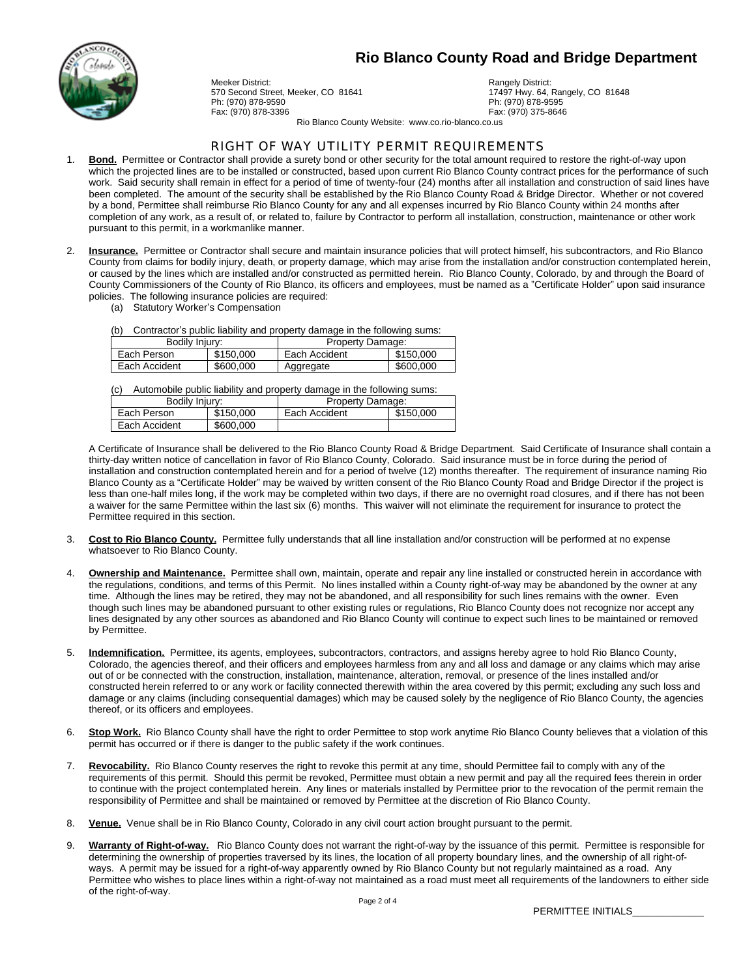

Meeker District:<br>17497 Hwy 64. For the Street. Meeker. CO 81641 Ph: (970) 878-9590<br>Fax: (970) 878-3396

17497 Hwy. 64, Rangely, CO 81648<br>Ph: (970) 878-9595 Fax: (970) 878-3396 Fax: (970) 375-8646

Rio Blanco County Website: www.co.rio-blanco.co.us

#### RIGHT OF WAY UTILITY PERMIT REQUIREMENTS

- 1. **Bond.** Permittee or Contractor shall provide a surety bond or other security for the total amount required to restore the right-of-way upon which the projected lines are to be installed or constructed, based upon current Rio Blanco County contract prices for the performance of such work. Said security shall remain in effect for a period of time of twenty-four (24) months after all installation and construction of said lines have been completed. The amount of the security shall be established by the Rio Blanco County Road & Bridge Director. Whether or not covered by a bond, Permittee shall reimburse Rio Blanco County for any and all expenses incurred by Rio Blanco County within 24 months after completion of any work, as a result of, or related to, failure by Contractor to perform all installation, construction, maintenance or other work pursuant to this permit, in a workmanlike manner.
- 2. **Insurance.** Permittee or Contractor shall secure and maintain insurance policies that will protect himself, his subcontractors, and Rio Blanco County from claims for bodily injury, death, or property damage, which may arise from the installation and/or construction contemplated herein, or caused by the lines which are installed and/or constructed as permitted herein. Rio Blanco County, Colorado, by and through the Board of County Commissioners of the County of Rio Blanco, its officers and employees, must be named as a "Certificate Holder" upon said insurance policies. The following insurance policies are required:
	- (a) Statutory Worker's Compensation

(b) Contractor's public liability and property damage in the following sums:

| Bodily Injury: |           | Property Damage: |           |  |
|----------------|-----------|------------------|-----------|--|
| Each Person    | \$150,000 | Each Accident    | \$150,000 |  |
| Each Accident  | \$600,000 | Aggregate        | \$600,000 |  |

(c) Automobile public liability and property damage in the following sums:

| Bodily Injury: |           | Property Damage: |           |
|----------------|-----------|------------------|-----------|
| Each Person    | \$150,000 | Each Accident    | \$150,000 |
| Each Accident  | \$600,000 |                  |           |

A Certificate of Insurance shall be delivered to the Rio Blanco County Road & Bridge Department. Said Certificate of Insurance shall contain a thirty-day written notice of cancellation in favor of Rio Blanco County, Colorado. Said insurance must be in force during the period of installation and construction contemplated herein and for a period of twelve (12) months thereafter. The requirement of insurance naming Rio Blanco County as a "Certificate Holder" may be waived by written consent of the Rio Blanco County Road and Bridge Director if the project is less than one-half miles long, if the work may be completed within two days, if there are no overnight road closures, and if there has not been a waiver for the same Permittee within the last six (6) months. This waiver will not eliminate the requirement for insurance to protect the Permittee required in this section.

- 3. **Cost to Rio Blanco County.** Permittee fully understands that all line installation and/or construction will be performed at no expense whatsoever to Rio Blanco County.
- 4. **Ownership and Maintenance.** Permittee shall own, maintain, operate and repair any line installed or constructed herein in accordance with the regulations, conditions, and terms of this Permit. No lines installed within a County right-of-way may be abandoned by the owner at any time. Although the lines may be retired, they may not be abandoned, and all responsibility for such lines remains with the owner. Even though such lines may be abandoned pursuant to other existing rules or regulations, Rio Blanco County does not recognize nor accept any lines designated by any other sources as abandoned and Rio Blanco County will continue to expect such lines to be maintained or removed by Permittee.
- 5. **Indemnification.** Permittee, its agents, employees, subcontractors, contractors, and assigns hereby agree to hold Rio Blanco County, Colorado, the agencies thereof, and their officers and employees harmless from any and all loss and damage or any claims which may arise out of or be connected with the construction, installation, maintenance, alteration, removal, or presence of the lines installed and/or constructed herein referred to or any work or facility connected therewith within the area covered by this permit; excluding any such loss and damage or any claims (including consequential damages) which may be caused solely by the negligence of Rio Blanco County, the agencies thereof, or its officers and employees.
- 6. **Stop Work.** Rio Blanco County shall have the right to order Permittee to stop work anytime Rio Blanco County believes that a violation of this permit has occurred or if there is danger to the public safety if the work continues.
- 7. **Revocability.** Rio Blanco County reserves the right to revoke this permit at any time, should Permittee fail to comply with any of the requirements of this permit. Should this permit be revoked, Permittee must obtain a new permit and pay all the required fees therein in order to continue with the project contemplated herein. Any lines or materials installed by Permittee prior to the revocation of the permit remain the responsibility of Permittee and shall be maintained or removed by Permittee at the discretion of Rio Blanco County.
- 8. **Venue.** Venue shall be in Rio Blanco County, Colorado in any civil court action brought pursuant to the permit.
- 9. **Warranty of Right-of-way.** Rio Blanco County does not warrant the right-of-way by the issuance of this permit. Permittee is responsible for determining the ownership of properties traversed by its lines, the location of all property boundary lines, and the ownership of all right-ofways. A permit may be issued for a right-of-way apparently owned by Rio Blanco County but not regularly maintained as a road. Any Permittee who wishes to place lines within a right-of-way not maintained as a road must meet all requirements of the landowners to either side of the right-of-way.

PERMITTEE INITIALS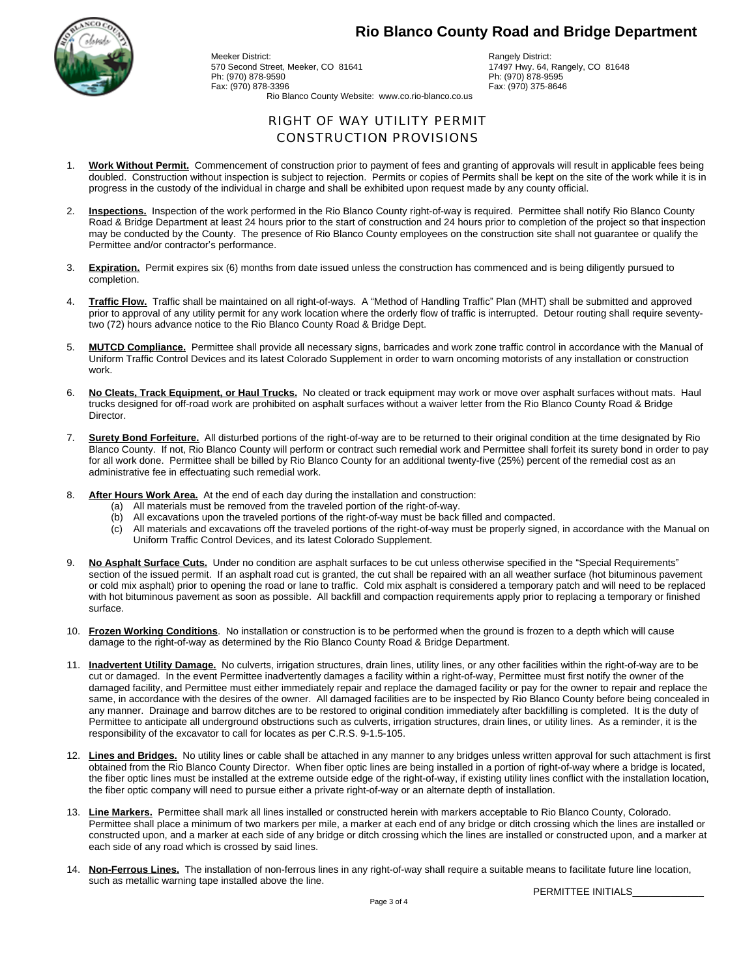

Meeker District:<br>1990 - The Meeker CO 81641 - Rangely District: Rangely District:<br>1990 - The Meeker CO 81641 - Rangely District: Rangely District: Ph: (970) 878-9590 Ph: (970) 878-9595 Fax: (970) 878-3396

17497 Hwy. 64, Rangely, CO 81648<br>Ph: (970) 878-9595

Rio Blanco County Website: www.co.rio-blanco.co.us

#### RIGHT OF WAY UTILITY PERMIT CONSTRUCTION PROVISIONS

- 1. **Work Without Permit.** Commencement of construction prior to payment of fees and granting of approvals will result in applicable fees being doubled. Construction without inspection is subject to rejection. Permits or copies of Permits shall be kept on the site of the work while it is in progress in the custody of the individual in charge and shall be exhibited upon request made by any county official.
- 2. **Inspections.** Inspection of the work performed in the Rio Blanco County right-of-way is required. Permittee shall notify Rio Blanco County Road & Bridge Department at least 24 hours prior to the start of construction and 24 hours prior to completion of the project so that inspection may be conducted by the County. The presence of Rio Blanco County employees on the construction site shall not guarantee or qualify the Permittee and/or contractor's performance.
- 3. **Expiration.** Permit expires six (6) months from date issued unless the construction has commenced and is being diligently pursued to completion.
- 4. **Traffic Flow.** Traffic shall be maintained on all right-of-ways. A "Method of Handling Traffic" Plan (MHT) shall be submitted and approved prior to approval of any utility permit for any work location where the orderly flow of traffic is interrupted. Detour routing shall require seventytwo (72) hours advance notice to the Rio Blanco County Road & Bridge Dept.
- 5. **MUTCD Compliance.** Permittee shall provide all necessary signs, barricades and work zone traffic control in accordance with the Manual of Uniform Traffic Control Devices and its latest Colorado Supplement in order to warn oncoming motorists of any installation or construction work.
- 6. **No Cleats, Track Equipment, or Haul Trucks.** No cleated or track equipment may work or move over asphalt surfaces without mats. Haul trucks designed for off-road work are prohibited on asphalt surfaces without a waiver letter from the Rio Blanco County Road & Bridge Director.
- 7. **Surety Bond Forfeiture.** All disturbed portions of the right-of-way are to be returned to their original condition at the time designated by Rio Blanco County. If not, Rio Blanco County will perform or contract such remedial work and Permittee shall forfeit its surety bond in order to pay for all work done. Permittee shall be billed by Rio Blanco County for an additional twenty-five (25%) percent of the remedial cost as an administrative fee in effectuating such remedial work.
- 8. **After Hours Work Area.** At the end of each day during the installation and construction:
	- (a) All materials must be removed from the traveled portion of the right-of-way.
	- (b) All excavations upon the traveled portions of the right-of-way must be back filled and compacted.
	- (c) All materials and excavations off the traveled portions of the right-of-way must be properly signed, in accordance with the Manual on Uniform Traffic Control Devices, and its latest Colorado Supplement.
- 9. **No Asphalt Surface Cuts.** Under no condition are asphalt surfaces to be cut unless otherwise specified in the "Special Requirements" section of the issued permit. If an asphalt road cut is granted, the cut shall be repaired with an all weather surface (hot bituminous pavement or cold mix asphalt) prior to opening the road or lane to traffic. Cold mix asphalt is considered a temporary patch and will need to be replaced with hot bituminous pavement as soon as possible. All backfill and compaction requirements apply prior to replacing a temporary or finished surface.
- 10. **Frozen Working Conditions**. No installation or construction is to be performed when the ground is frozen to a depth which will cause damage to the right-of-way as determined by the Rio Blanco County Road & Bridge Department.
- 11. **Inadvertent Utility Damage.** No culverts, irrigation structures, drain lines, utility lines, or any other facilities within the right-of-way are to be cut or damaged. In the event Permittee inadvertently damages a facility within a right-of-way, Permittee must first notify the owner of the damaged facility, and Permittee must either immediately repair and replace the damaged facility or pay for the owner to repair and replace the same, in accordance with the desires of the owner. All damaged facilities are to be inspected by Rio Blanco County before being concealed in any manner. Drainage and barrow ditches are to be restored to original condition immediately after backfilling is completed. It is the duty of Permittee to anticipate all underground obstructions such as culverts, irrigation structures, drain lines, or utility lines. As a reminder, it is the responsibility of the excavator to call for locates as per C.R.S. 9-1.5-105.
- 12. **Lines and Bridges.** No utility lines or cable shall be attached in any manner to any bridges unless written approval for such attachment is first obtained from the Rio Blanco County Director. When fiber optic lines are being installed in a portion of right-of-way where a bridge is located, the fiber optic lines must be installed at the extreme outside edge of the right-of-way, if existing utility lines conflict with the installation location, the fiber optic company will need to pursue either a private right-of-way or an alternate depth of installation.
- 13. **Line Markers.** Permittee shall mark all lines installed or constructed herein with markers acceptable to Rio Blanco County, Colorado. Permittee shall place a minimum of two markers per mile, a marker at each end of any bridge or ditch crossing which the lines are installed or constructed upon, and a marker at each side of any bridge or ditch crossing which the lines are installed or constructed upon, and a marker at each side of any road which is crossed by said lines.
- 14. **Non-Ferrous Lines.** The installation of non-ferrous lines in any right-of-way shall require a suitable means to facilitate future line location, such as metallic warning tape installed above the line.

PERMITTEE INITIALS